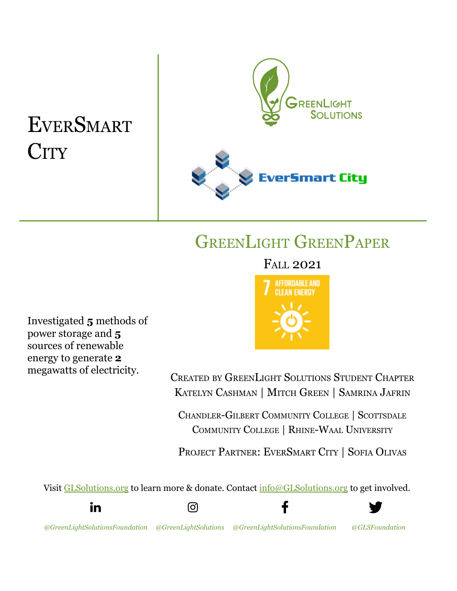# **EVERSMART CITY**



## GREENLIGHT GREENPAPER

### FALL 2021

**AFFORDABLE AND** 

Investigated **5** methods of power storage and **5** sources of renewable energy to generate **2** megawatts of electricity.



CREATED BY GREENLIGHT SOLUTIONS STUDENT CHAPTER KATELYN CASHMAN | MITCH GREEN | SAMRINA JAFRIN

CHANDLER-GILBERT COMMUNITY COLLEGE | SCOTTSDALE COMMUNITY COLLEGE | RHINE-WAAL UNIVERSITY

PROJECT PARTNER: EVERSMART CITY | SOFIA OLIVAS

Visit [GLSolutions.org](https://www.glsolutions.org/) to learn more & donate. Contact [info@GLSolutions.org](mailto:info@GLSolutions.org) to get involved.









*[@GreenLightSolutionsFoundation](https://www.linkedin.com/company/10571635) [@GreenLightSolutions](https://www.instagram.com/greenlightsolutions/) [@GreenLightSolutionsFoundation](https://www.facebook.com/GreenLightSolutionsFoundation/) [@GLSFoundation](https://twitter.com/GLSFoundation)*